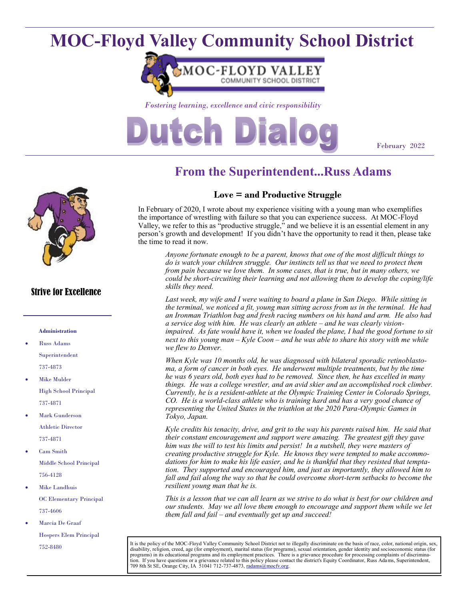## **MOC-Floyd Valley Community School District**



*Fostering learning, excellence and civic responsibility*

# Dutch Dia

February 2022



#### Strive for Excellence

#### **Administration**

- Russ Adams Superintendent 737-4873
- **Mike Mulder** High School Principal 737-4871
- Mark Gunderson Athletic Director 737-4871
- Cam Smith Middle School Principal 756-4128
- Mike Landhuis OC Elementary Principal 737-4606
- Marcia De Graaf Hospers Elem Principal 752-8480

## **From the Superintendent...Russ Adams**

#### **Love = and Productive Struggle**

In February of 2020, I wrote about my experience visiting with a young man who exemplifies the importance of wrestling with failure so that you can experience success. At MOC-Floyd Valley, we refer to this as "productive struggle," and we believe it is an essential element in any person's growth and development! If you didn't have the opportunity to read it then, please take the time to read it now.

*Anyone fortunate enough to be a parent, knows that one of the most difficult things to do is watch your children struggle. Our instincts tell us that we need to protect them from pain because we love them. In some cases, that is true, but in many others, we could be short-circuiting their learning and not allowing them to develop the coping/life skills they need.*

Last week, my wife and I were waiting to board a plane in San Diego. While sitting in *the terminal, we noticed a fit, young man sitting across from us in the terminal. He had an Ironman Triathlon bag and fresh racing numbers on his hand and arm. He also had a service dog with him. He was clearly an athlete – and he was clearly visionimpaired. As fate would have it, when we loaded the plane, I had the good fortune to sit next to this young man – Kyle Coon – and he was able to share his story with me while we flew to Denver.* 

*When Kyle was 10 months old, he was diagnosed with bilateral sporadic retinoblastoma, a form of cancer in both eyes. He underwent multiple treatments, but by the time he was 6 years old, both eyes had to be removed. Since then, he has excelled in many things. He was a college wrestler, and an avid skier and an accomplished rock climber. Currently, he is a resident-athlete at the Olympic Training Center in Colorado Springs, CO. He is a world-class athlete who is training hard and has a very good chance of representing the United States in the triathlon at the 2020 Para-Olympic Games in Tokyo, Japan.* 

*Kyle credits his tenacity, drive, and grit to the way his parents raised him. He said that their constant encouragement and support were amazing. The greatest gift they gave him was the will to test his limits and persist! In a nutshell, they were masters of creating productive struggle for Kyle. He knows they were tempted to make accommodations for him to make his life easier, and he is thankful that they resisted that temptation. They supported and encouraged him, and just as importantly, they allowed him to fall and fail along the way so that he could overcome short-term setbacks to become the resilient young man that he is.* 

*This is a lesson that we can all learn as we strive to do what is best for our children and our students. May we all love them enough to encourage and support them while we let them fall and fail – and eventually get up and succeed!*

It is the policy of the MOC-Floyd Valley Community School District not to illegally discriminate on the basis of race, color, national origin, sex, disability, religion, creed, age (for employment), marital status (for programs), sexual orientation, gender identity and socioeconomic status (for programs) in its educational programs and its employment practices. There is a grievance procedure for processing complaints of discrimina-<br>tion. If you have questions or a grievance related to this policy please contact t 709 8th St SE, Orange City, IA 51041 712-737-4873, [radams@mocfv.org.](mailto:radams@mocfv.org)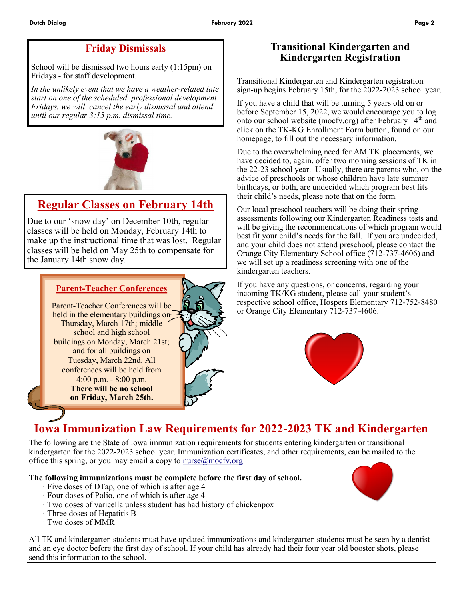### **Friday Dismissals**

School will be dismissed two hours early (1:15pm) on Fridays - for staff development.

*In the unlikely event that we have a weather-related late start on one of the scheduled professional development Fridays, we will cancel the early dismissal and attend until our regular 3:15 p.m. dismissal time.*



## **Regular Classes on February 14th**

Due to our 'snow day' on December 10th, regular classes will be held on Monday, February 14th to make up the instructional time that was lost. Regular classes will be held on May 25th to compensate for the January 14th snow day.



### **Transitional Kindergarten and Kindergarten Registration**

Transitional Kindergarten and Kindergarten registration sign-up begins February 15th, for the 2022-2023 school year.

If you have a child that will be turning 5 years old on or before September 15, 2022, we would encourage you to log onto our school website (mocfv.org) after February 14<sup>th</sup> and click on the TK-KG Enrollment Form button, found on our homepage, to fill out the necessary information.

Due to the overwhelming need for AM TK placements, we have decided to, again, offer two morning sessions of TK in the 22-23 school year. Usually, there are parents who, on the advice of preschools or whose children have late summer birthdays, or both, are undecided which program best fits their child's needs, please note that on the form.

Our local preschool teachers will be doing their spring assessments following our Kindergarten Readiness tests and will be giving the recommendations of which program would best fit your child's needs for the fall. If you are undecided, and your child does not attend preschool, please contact the Orange City Elementary School office (712-737-4606) and we will set up a readiness screening with one of the kindergarten teachers.

If you have any questions, or concerns, regarding your incoming TK/KG student, please call your student's respective school office, Hospers Elementary 712-752-8480 or Orange City Elementary 712-737-4606.



## **Iowa Immunization Law Requirements for 2022-2023 TK and Kindergarten**

The following are the State of Iowa immunization requirements for students entering kindergarten or transitional kindergarten for the 2022-2023 school year. Immunization certificates, and other requirements, can be mailed to the office this spring, or you may email a copy to  $\frac{m\cos(\theta)}{m\cos(\theta)}$ 

#### **The following immunizations must be complete before the first day of school.**

- · Five doses of DTap, one of which is after age 4
- · Four doses of Polio, one of which is after age 4
- · Two doses of varicella unless student has had history of chickenpox
- · Three doses of Hepatitis B
- · Two doses of MMR

All TK and kindergarten students must have updated immunizations and kindergarten students must be seen by a dentist and an eye doctor before the first day of school. If your child has already had their four year old booster shots, please send this information to the school.

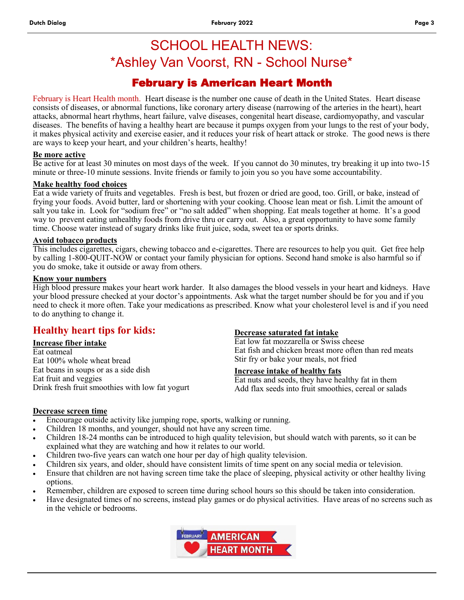## SCHOOL HEALTH NEWS: \*Ashley Van Voorst, RN - School Nurse\*

### February is American Heart Month

February is Heart Health month. Heart disease is the number one cause of death in the United States. Heart disease consists of diseases, or abnormal functions, like coronary artery disease (narrowing of the arteries in the heart), heart attacks, abnormal heart rhythms, heart failure, valve diseases, congenital heart disease, cardiomyopathy, and vascular diseases. The benefits of having a healthy heart are because it pumps oxygen from your lungs to the rest of your body, it makes physical activity and exercise easier, and it reduces your risk of heart attack or stroke. The good news is there are ways to keep your heart, and your children's hearts, healthy!

#### **Be more active**

Be active for at least 30 minutes on most days of the week. If you cannot do 30 minutes, try breaking it up into two-15 minute or three-10 minute sessions. Invite friends or family to join you so you have some accountability.

#### **Make healthy food choices**

Eat a wide variety of fruits and vegetables. Fresh is best, but frozen or dried are good, too. Grill, or bake, instead of frying your foods. Avoid butter, lard or shortening with your cooking. Choose lean meat or fish. Limit the amount of salt you take in. Look for "sodium free" or "no salt added" when shopping. Eat meals together at home. It's a good way to prevent eating unhealthy foods from drive thru or carry out. Also, a great opportunity to have some family time. Choose water instead of sugary drinks like fruit juice, soda, sweet tea or sports drinks.

#### **Avoid tobacco products**

This includes cigarettes, cigars, chewing tobacco and e-cigarettes. There are resources to help you quit. Get free help by calling 1-800-QUIT-NOW or contact your family physician for options. Second hand smoke is also harmful so if you do smoke, take it outside or away from others.

#### **Know your numbers**

High blood pressure makes your heart work harder. It also damages the blood vessels in your heart and kidneys. Have your blood pressure checked at your doctor's appointments. Ask what the target number should be for you and if you need to check it more often. Take your medications as prescribed. Know what your cholesterol level is and if you need to do anything to change it.

### **Healthy heart tips for kids:**

#### **Increase fiber intake**

Eat oatmeal Eat 100% whole wheat bread Eat beans in soups or as a side dish Eat fruit and veggies Drink fresh fruit smoothies with low fat yogurt

#### **Decrease saturated fat intake**

Eat low fat mozzarella or Swiss cheese Eat fish and chicken breast more often than red meats Stir fry or bake your meals, not fried

#### **Increase intake of healthy fats**

Eat nuts and seeds, they have healthy fat in them Add flax seeds into fruit smoothies, cereal or salads

#### **Decrease screen time**

- Encourage outside activity like jumping rope, sports, walking or running.
- Children 18 months, and younger, should not have any screen time.
- Children 18-24 months can be introduced to high quality television, but should watch with parents, so it can be explained what they are watching and how it relates to our world.
- Children two-five years can watch one hour per day of high quality television.
- Children six years, and older, should have consistent limits of time spent on any social media or television.
- Ensure that children are not having screen time take the place of sleeping, physical activity or other healthy living options.
- Remember, children are exposed to screen time during school hours so this should be taken into consideration.
- Have designated times of no screens, instead play games or do physical activities. Have areas of no screens such as in the vehicle or bedrooms.

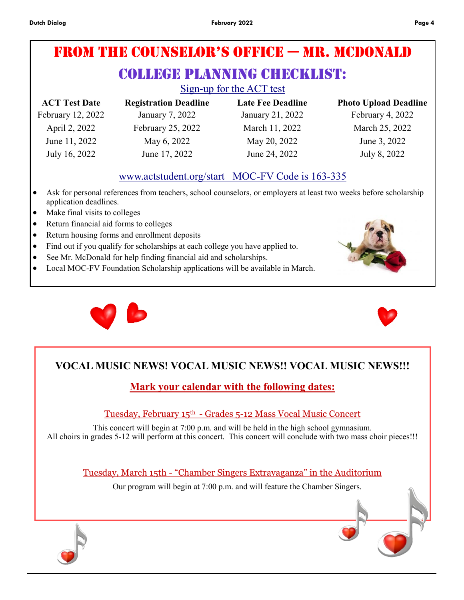## From the Counselor's oFFiCe — Mr. McDonald

## COLLEGE PLANNING CHECKLIST:

Sign-up for the ACT test

| <b>ACT Test Date</b> | <b>Registration Deadline</b> | <b>Late Fee Deadline</b> | <b>Photo Upload Deadline</b> |
|----------------------|------------------------------|--------------------------|------------------------------|
| February 12, 2022    | January 7, 2022              | January 21, 2022         | February 4, 2022             |
| April 2, 2022        | February 25, 2022            | March 11, 2022           | March 25, 2022               |
| June 11, 2022        | May 6, 2022                  | May 20, 2022             | June 3, 2022                 |
| July 16, 2022        | June 17, 2022                | June 24, 2022            | July 8, 2022                 |

### www.actstudent.org/start MOC-FV Code is 163-335

- Ask for personal references from teachers, school counselors, or employers at least two weeks before scholarship application deadlines.
- Make final visits to colleges
- Return financial aid forms to colleges
- Return housing forms and enrollment deposits
- Find out if you qualify for scholarships at each college you have applied to.
- See Mr. McDonald for help finding financial aid and scholarships.
- Local MOC-FV Foundation Scholarship applications will be available in March.





## **VOCAL MUSIC NEWS! VOCAL MUSIC NEWS!! VOCAL MUSIC NEWS!!!**

## **Mark your calendar with the following dates:**

Tuesday, February 15th - Grades 5-12 Mass Vocal Music Concert

This concert will begin at 7:00 p.m. and will be held in the high school gymnasium. All choirs in grades 5-12 will perform at this concert. This concert will conclude with two mass choir pieces!!!

Tuesday, March 15th - "Chamber Singers Extravaganza" in the Auditorium

Our program will begin at 7:00 p.m. and will feature the Chamber Singers.

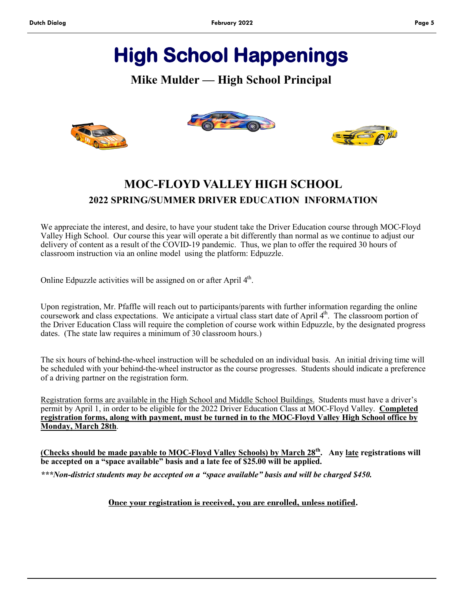## **High School Happenings**

### **Mike Mulder — High School Principal**







## **MOC-FLOYD VALLEY HIGH SCHOOL 2022 SPRING/SUMMER DRIVER EDUCATION INFORMATION**

We appreciate the interest, and desire, to have your student take the Driver Education course through MOC-Floyd Valley High School. Our course this year will operate a bit differently than normal as we continue to adjust our delivery of content as a result of the COVID-19 pandemic. Thus, we plan to offer the required 30 hours of classroom instruction via an online model using the platform: Edpuzzle.

Online Edpuzzle activities will be assigned on or after April 4<sup>th</sup>.

Upon registration, Mr. Pfaffle will reach out to participants/parents with further information regarding the online coursework and class expectations. We anticipate a virtual class start date of April 4<sup>th</sup>. The classroom portion of the Driver Education Class will require the completion of course work within Edpuzzle, by the designated progress dates. (The state law requires a minimum of 30 classroom hours.)

The six hours of behind-the-wheel instruction will be scheduled on an individual basis. An initial driving time will be scheduled with your behind-the-wheel instructor as the course progresses. Students should indicate a preference of a driving partner on the registration form.

Registration forms are available in the High School and Middle School Buildings. Students must have a driver's permit by April 1, in order to be eligible for the 2022 Driver Education Class at MOC-Floyd Valley. **Completed registration forms, along with payment, must be turned in to the MOC-Floyd Valley High School office by Monday, March 28th**.

**(Checks should be made payable to MOC-Floyd Valley Schools) by March 28th. Any late registrations will be accepted on a "space available" basis and a late fee of \$25.00 will be applied.**

*\*\*\*Non-district students may be accepted on a "space available" basis and will be charged \$450.*

#### **Once your registration is received, you are enrolled, unless notified***.*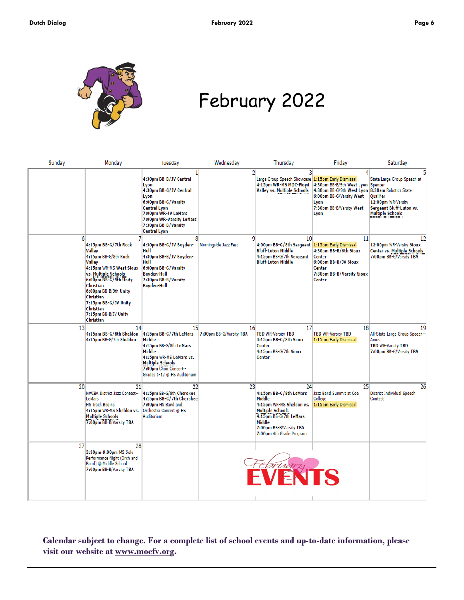

## February 2022

| Sunday          | Monday                                                                                                                                                                                                                                                                    | Tuesdav                                                                                                                                                                                                         | Wednesday                     | Thursday                                                                                                                                                                                 | Friday                                                                                                                                                       | Saturday                                                                                                              |
|-----------------|---------------------------------------------------------------------------------------------------------------------------------------------------------------------------------------------------------------------------------------------------------------------------|-----------------------------------------------------------------------------------------------------------------------------------------------------------------------------------------------------------------|-------------------------------|------------------------------------------------------------------------------------------------------------------------------------------------------------------------------------------|--------------------------------------------------------------------------------------------------------------------------------------------------------------|-----------------------------------------------------------------------------------------------------------------------|
|                 |                                                                                                                                                                                                                                                                           | 4:30pm BB-B/JV Central<br>Lyon<br>4:30pm BB-G/JV Central<br>Lyon<br>6:00pm BB-G/Varsity<br><b>Central Lyon</b><br>7:00pm WR-JV LeMars<br>7:00pm WR-Varsity LeMars<br>7:30pm BB-B/Varsity<br><b>Central Lyon</b> | 21                            | 3<br>Large Group Speech Showcase 1:15pm Early Dismissal<br>4:15pm WR-MS MOC-Floyd<br><b>Valley vs. Multiple Schools</b>                                                                  | 4:30pm BB-B/9th West Lyon Spencer<br>4:30pm BB-G/9th West Lyon 8:30am Robotics State<br>6:00pm BB-G/Varsity West<br>Lyon<br>7:30pm BB-B/Varsity West<br>Lyon | State Large Group Speech at<br>Qualifier<br>12:00pm WR-Varsity<br>Sergeant Bluff-Luton vs.<br><b>Multiple Schools</b> |
| 6               | 4:15pm BB-G/7th Rock<br>Valley<br>4:15pm BB-G/8th Rock<br>Valley<br>4:15pm WR-MS West Sioux<br>vs. Multiple Schools<br>6:00pm BB-G/9th Unity<br>Christian<br>6:00pm BB-B/9th Unity<br>Christian<br>7:15pm BB-G/JV Unity<br>Christian<br>7:15pm BB-B/JV Unity<br>Christian | 8<br>4:30pm BB-G/JV Boyden-<br>Hull<br>4:30pm BB-B/JV Boyden-<br>Hull<br>6:00pm BB-G/Varsity<br><b>Boyden-Hull</b><br>7:30pm BB-B/Varsity<br><b>Boyden-Hull</b>                                                 | q<br>Morningside Jazz Fest    | 10 <sup>1</sup><br>4:00pm BB-G/8th Sergeant 1:15pm Early Dismissal<br><b>Bluff-Luton Middle</b><br>4:15pm BB-G/7th Sergeant<br><b>Bluff-Luton Middle</b>                                 | 11<br>4:30pm BB-B/9th Sioux<br>Center<br>6:00pm BB-B/JV Sioux<br>Center<br>7:30pm BB-B/Varsity Sioux<br>Center                                               | 12<br>12:00pm WR-Varsity Sioux<br>Center vs. Multiple Schools<br>7:00pm BB-G/Varsity TBA                              |
| 13              | 14<br>4:15pm BB-G/8th Sheldon<br>4:15pm BB-G/7th Sheldon                                                                                                                                                                                                                  | 15 <sup>1</sup><br>4:15pm BB-G/7th LeMars<br>Middle<br>4:15pm BB-G/8th LeMars<br>Middle<br>4:15pm WR-MS LeMars vs.<br>Multiple Schools<br>7:00pm Choir Concert-<br>Grades 5-12 @ HS Auditorium                  | 16<br>7:00pm BB-G/Varsity TBA | 17<br><b>TBD WR-Varsity TBD</b><br>4:15pm BB-G/8th Sioux<br>Center<br>4:15pm BB-G/7th Sioux<br>Center                                                                                    | 18<br><b>TBD WR-Varsity TBD</b><br>1:15pm Early Dismissal                                                                                                    | 19<br>All-State Large Group Speech--<br>Ames<br><b>TBD WR-Varsity TBD</b><br>7:00pm BB-G/Varsity TBA                  |
| 20 <sup>1</sup> | 21<br><b>NWIBA District Jazz Contest--</b><br>LeMars<br><b>HS Track Begins</b><br>4:15pm WR-MS Sheldon vs.<br><b>Multiple Schools</b><br>7:00pm BB-B/Varsity TBA                                                                                                          | 22<br>4:15pm BB-G/8th Cherokee<br>4:15pm BB-G/7th Cherokee<br>7:00pm HS Band and<br>Orchestra Concert @ HS<br>Auditorium                                                                                        | 23 <sup>1</sup>               | 24<br>4:15pm BB-G/8th LeMars<br>Middle<br>4:15pm WR-MS Sheldon vs.<br><b>Multiple Schools</b><br>4:15pm BB-G/7th LeMars<br>Middle<br>7:00pm BB-B/Varsity TBA<br>7:00pm 4th Grade Program | 25<br>Jazz Band Summit at Coe<br>College<br>1:15pm Early Dismissal                                                                                           | 26<br>District Individual Speech<br>Contest                                                                           |
| 27              | 28<br>3:30pm-9:00pm MS Solo<br>Performance Night (Orch and<br>Band) @ Middle School<br>7:00pm BB-B/Varsity TBA                                                                                                                                                            |                                                                                                                                                                                                                 |                               | February<br>FVENTS                                                                                                                                                                       |                                                                                                                                                              |                                                                                                                       |

**Calendar subject to change. For a complete list of school events and up-to-date information, please visit our website at www.mocfv.org.**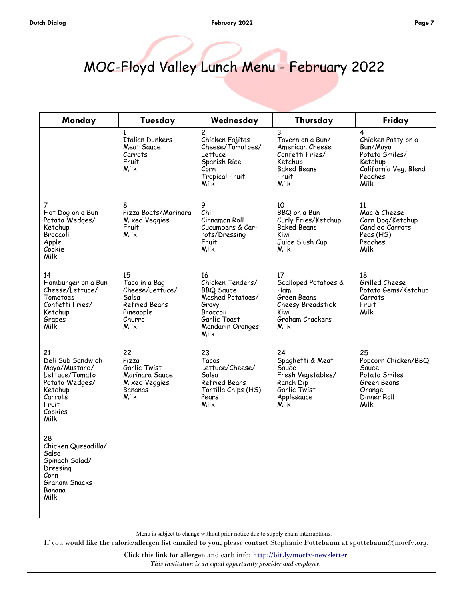## MOC-Floyd Valley Lunch Menu - February 2022

| Monday                                                                                                                         | Tuesday                                                                                                | Wednesday                                                                                                                       | Thursday                                                                                                      | Friday                                                                                                       |
|--------------------------------------------------------------------------------------------------------------------------------|--------------------------------------------------------------------------------------------------------|---------------------------------------------------------------------------------------------------------------------------------|---------------------------------------------------------------------------------------------------------------|--------------------------------------------------------------------------------------------------------------|
|                                                                                                                                | $\mathbf{1}$<br><b>Italian Dunkers</b><br>Meat Sauce<br>Carrots<br>Fruit<br>Milk                       | $\overline{c}$<br>Chicken Fajitas<br>Cheese/Tomatoes/<br>Lettuce<br>Spanish Rice<br>Corn<br><b>Tropical Fruit</b><br>Milk       | 3<br>Tavern on a Bun/<br>American Cheese<br>Confetti Fries/<br>Ketchup<br><b>Baked Beans</b><br>Fruit<br>Milk | 4<br>Chicken Patty on a<br>Bun/Mayo<br>Potato Śmiles/<br>Ketchup<br>California Veg. Blend<br>Peaches<br>Milk |
| $\overline{7}$<br>Hot Dog on a Bun<br>Potato Wedges/<br>Ketchup<br>Broccoli<br>Apple<br>Cookie<br>Milk                         | 8<br>Pizza Boats/Marinara<br>Mixed Veggies<br>Fruit<br>Milk                                            | 9<br>Chili<br>Cinnamon Roll<br>Cucumbers & Car-<br>rots/Dressing<br>Fruit<br>Milk                                               | 10<br>BBQ on a Bun<br>Curly Fries/Ketchup<br><b>Baked Beans</b><br>Kiwi<br>Juice Slush Cup<br>Milk            | 11<br>Mac & Cheese<br>Corn Dog/Ketchup<br>Candied Carrots<br>Peas (HS)<br>Peaches<br>Milk                    |
| 14<br>Hamburger on a Bun<br>Cheese/Lettuce/<br>Tomatoes<br>Confetti Fries/<br>Ketchup<br>Grapes<br>Milk                        | 15<br>Taco in a Bag<br>Cheese/Lettuce/<br>Salsa<br><b>Refried Beans</b><br>Pineapple<br>Churro<br>Milk | 16<br>Chicken Tenders/<br><b>BBQ Sauce</b><br>Mashed Potatoes/<br>Gravy<br>Broccoli<br>Garlic Toast<br>Mandarin Oranges<br>Milk | 17<br>Scalloped Potatoes &<br>Ham<br>Green Beans<br>Cheesy Breadstick<br>Kiwi<br>Graham Crackers<br>Milk      | 18<br>Grilled Cheese<br>Potato Gems/Ketchup<br>Carrots<br>Fruit<br>Milk                                      |
| 21<br>Deli Sub Sandwich<br>Mayo/Mustard/<br>Lettuce/Tomato<br>Potato Wedges/<br>Ketchup<br>Carrots<br>Fruit<br>Cookies<br>Milk | 22<br>Pizza<br>Garlic Twist<br>Marinara Sauce<br>Mixed Veggies<br>Bananas<br>Milk                      | 23<br>Tacos<br>Lettuce/Cheese/<br>Salsa<br>Refried Beans<br>Tortilla Chips (HS)<br>Pears<br>Milk                                | 24<br>Spaghetti & Meat<br>Sauce<br>Fresh Vegetables/<br>Ranch Dip<br>Garlic Twist<br>Applesauce<br>Milk       | 25<br>Popcorn Chicken/BBQ<br>Sauce<br>Potato Smiles<br>Green Beans<br>Orange<br>Dinner Roll<br>Milk          |
| 28<br>Chicken Quesadilla/<br>Salsa<br>Spinach Salad/<br>Dressing<br>Corn<br>Graham Snacks<br>Banana<br>Milk                    |                                                                                                        |                                                                                                                                 |                                                                                                               |                                                                                                              |

Menu is subject to change without prior notice due to supply chain interruptions.

If you would like the calorie/allergen list emailed to you, please contact Stephanie Pottebaum at spottebaum@mocfv.org.

Click this link for allergen and carb info: <http://bit.ly/mocfv-newsletter> *This institution is an equal opportunity provider and employer.*